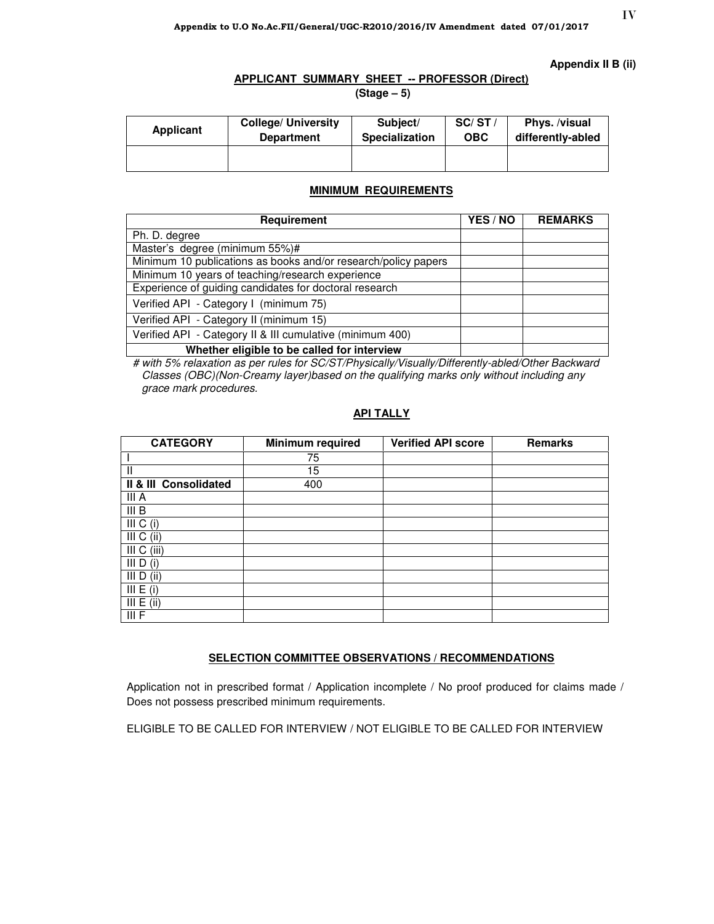### **Appendix II B (ii)**

## **APPLICANT SUMMARY SHEET -- PROFESSOR (Direct)**

 **(Stage – 5)** 

| Applicant | <b>College/ University</b> | Subject/              | SC/ST/ | Phys. /visual     |
|-----------|----------------------------|-----------------------|--------|-------------------|
|           | <b>Department</b>          | <b>Specialization</b> | OBC    | differently-abled |
|           |                            |                       |        |                   |

## **MINIMUM REQUIREMENTS**

| Requirement                                                    | YES / NO | <b>REMARKS</b> |
|----------------------------------------------------------------|----------|----------------|
| Ph. D. degree                                                  |          |                |
| Master's degree (minimum 55%)#                                 |          |                |
| Minimum 10 publications as books and/or research/policy papers |          |                |
| Minimum 10 years of teaching/research experience               |          |                |
| Experience of guiding candidates for doctoral research         |          |                |
| Verified API - Category I (minimum 75)                         |          |                |
| Verified API - Category II (minimum 15)                        |          |                |
| Verified API - Category II & III cumulative (minimum 400)      |          |                |
| Whether eligible to be called for interview                    |          |                |

 # with 5% relaxation as per rules for SC/ST/Physically/Visually/Differently-abled/Other Backward Classes (OBC)(Non-Creamy layer)based on the qualifying marks only without including any grace mark procedures.

## **API TALLY**

| <b>CATEGORY</b>       | Minimum required | <b>Verified API score</b> | <b>Remarks</b> |
|-----------------------|------------------|---------------------------|----------------|
|                       | 75               |                           |                |
| $\mathbf{I}$          | 15               |                           |                |
| II & III Consolidated | 400              |                           |                |
| III A                 |                  |                           |                |
| III B                 |                  |                           |                |
| III C (i)             |                  |                           |                |
| III C (ii)            |                  |                           |                |
| III C (iii)           |                  |                           |                |
| III D<br>(i)          |                  |                           |                |
| (ii)<br>III D         |                  |                           |                |
| III E (i)             |                  |                           |                |
| III E (ii)            |                  |                           |                |
| III F                 |                  |                           |                |

## **SELECTION COMMITTEE OBSERVATIONS / RECOMMENDATIONS**

Application not in prescribed format / Application incomplete / No proof produced for claims made / Does not possess prescribed minimum requirements.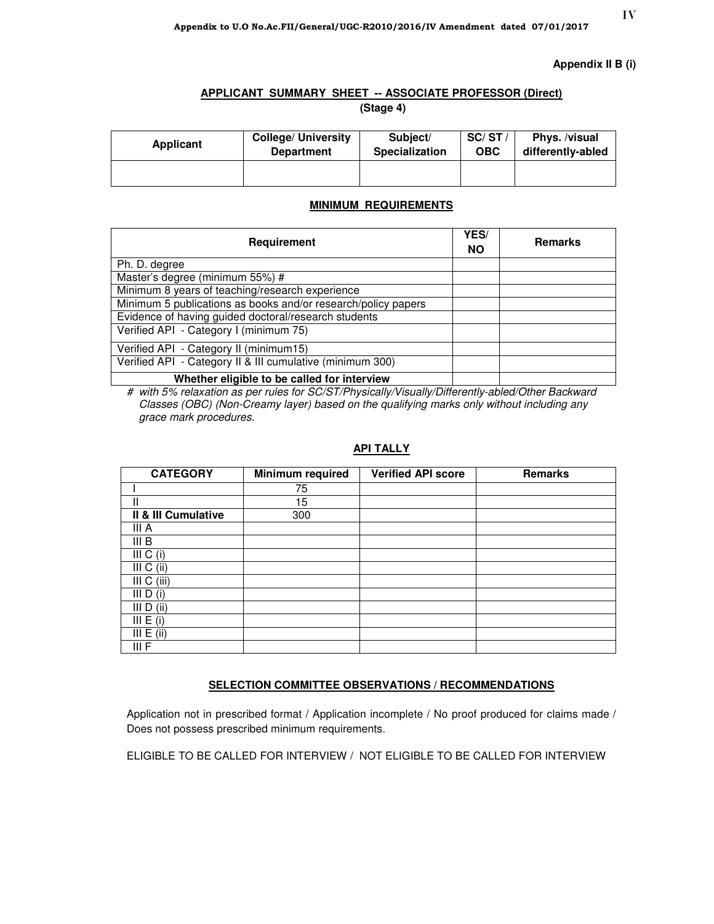### **Appendix II B (i)**

## **APPLICANT SUMMARY SHEET -- ASSOCIATE PROFESSOR (Direct)**

 **(Stage 4)** 

| <b>Applicant</b> | <b>College/ University</b> | Subject/              | SC/ST      | Phys. /visual     |
|------------------|----------------------------|-----------------------|------------|-------------------|
|                  | <b>Department</b>          | <b>Specialization</b> | <b>OBC</b> | differently-abled |
|                  |                            |                       |            |                   |

## **MINIMUM REQUIREMENTS**

| Requirement                                                   | YES/<br><b>NO</b> | <b>Remarks</b> |
|---------------------------------------------------------------|-------------------|----------------|
| Ph. D. degree                                                 |                   |                |
| Master's degree (minimum 55%) #                               |                   |                |
| Minimum 8 years of teaching/research experience               |                   |                |
| Minimum 5 publications as books and/or research/policy papers |                   |                |
| Evidence of having guided doctoral/research students          |                   |                |
| Verified API - Category I (minimum 75)                        |                   |                |
| Verified API - Category II (minimum15)                        |                   |                |
| Verified API - Category II & III cumulative (minimum 300)     |                   |                |
| Whether eligible to be called for interview                   |                   |                |

# with 5% relaxation as per rules for SC/ST/Physically/Visually/Differently-abled/Other Backward Classes (OBC) (Non-Creamy layer) based on the qualifying marks only without including any grace mark procedures.

## **API TALLY**

| <b>CATEGORY</b>     | Minimum required | <b>Verified API score</b> | <b>Remarks</b> |
|---------------------|------------------|---------------------------|----------------|
|                     | 75               |                           |                |
| Ш                   | 15               |                           |                |
| Il & III Cumulative | 300              |                           |                |
| III A               |                  |                           |                |
| III B               |                  |                           |                |
| III C (i)           |                  |                           |                |
| III C (ii)          |                  |                           |                |
| III C (iii)         |                  |                           |                |
| III D (i)           |                  |                           |                |
| III D (ii)          |                  |                           |                |
| III E (i)           |                  |                           |                |
| III E (ii)          |                  |                           |                |
| III F               |                  |                           |                |

## **SELECTION COMMITTEE OBSERVATIONS / RECOMMENDATIONS**

Application not in prescribed format / Application incomplete / No proof produced for claims made / Does not possess prescribed minimum requirements.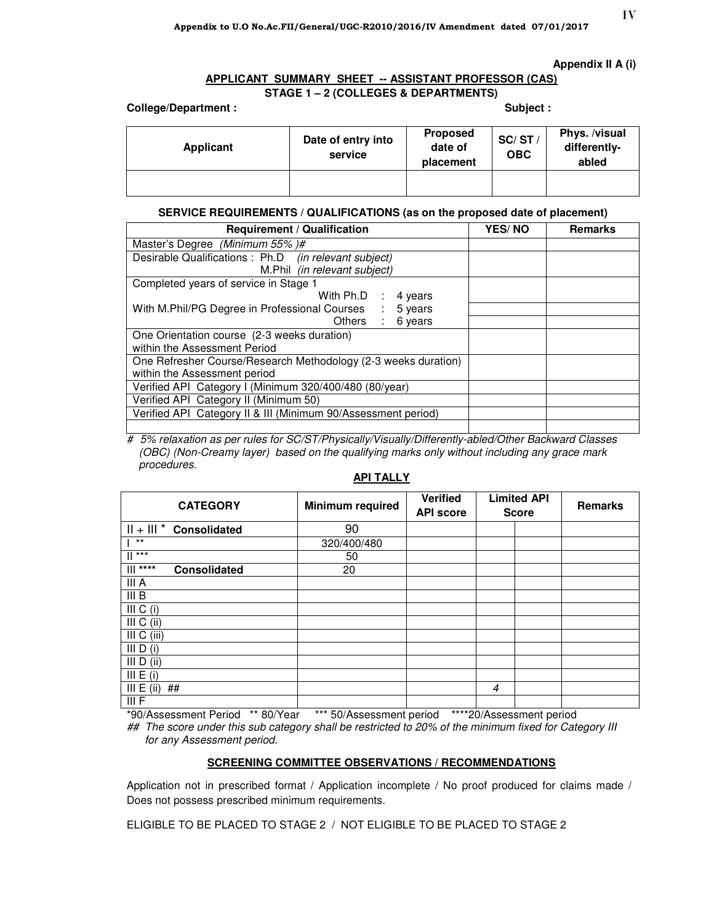### **Appendix II A (i)**

## **APPLICANT SUMMARY SHEET -- ASSISTANT PROFESSOR (CAS) STAGE 1 – 2 (COLLEGES & DEPARTMENTS)**

### College/Department : **Subject : Subject : Subject : Subject : Subject : Subject : Subject : Subject : Subject : Subject : Subject : Subject : Subject : Subject : Subject : Subject : Subject : Subject : Subject : Subject :**

| Applicant | Date of entry into<br>service | <b>Proposed</b><br>date of<br>placement | SC/ST/<br><b>OBC</b> | Phys. /visual<br>differently-<br>abled |
|-----------|-------------------------------|-----------------------------------------|----------------------|----------------------------------------|
|           |                               |                                         |                      |                                        |

## **SERVICE REQUIREMENTS / QUALIFICATIONS (as on the proposed date of placement)**

| <b>Requirement / Qualification</b>                             | <b>YES/NO</b> | <b>Remarks</b> |
|----------------------------------------------------------------|---------------|----------------|
| Master's Degree (Minimum 55%)#                                 |               |                |
| Desirable Qualifications : Ph.D (in relevant subject)          |               |                |
| M.Phil <i>(in relevant subject)</i>                            |               |                |
| Completed years of service in Stage 1                          |               |                |
| With Ph.D : 4 years                                            |               |                |
| With M.Phil/PG Degree in Professional Courses :<br>5 years     |               |                |
| Others : 6 years                                               |               |                |
| One Orientation course (2-3 weeks duration)                    |               |                |
| within the Assessment Period                                   |               |                |
| One Refresher Course/Research Methodology (2-3 weeks duration) |               |                |
| within the Assessment period                                   |               |                |
| Verified API Category I (Minimum 320/400/480 (80/year)         |               |                |
| Verified API Category II (Minimum 50)                          |               |                |
| Verified API Category II & III (Minimum 90/Assessment period)  |               |                |
|                                                                |               |                |

# 5% relaxation as per rules for SC/ST/Physically/Visually/Differently-abled/Other Backward Classes (OBC) (Non-Creamy layer) based on the qualifying marks only without including any grace mark procedures.

### **API TALLY**

| <b>CATEGORY</b>                   | <b>Minimum required</b> | <b>Verified</b><br><b>API score</b> | <b>Limited API</b><br><b>Score</b> | <b>Remarks</b> |
|-----------------------------------|-------------------------|-------------------------------------|------------------------------------|----------------|
| $   +    $ * Consolidated         | 90                      |                                     |                                    |                |
| $***$                             | 320/400/480             |                                     |                                    |                |
| $***$<br>Ш                        | 50                      |                                     |                                    |                |
| $   $ ****<br><b>Consolidated</b> | 20                      |                                     |                                    |                |
| III A                             |                         |                                     |                                    |                |
| III B                             |                         |                                     |                                    |                |
| III C (i)                         |                         |                                     |                                    |                |
| III C (ii)                        |                         |                                     |                                    |                |
| III C (iii)                       |                         |                                     |                                    |                |
| III $D(i)$                        |                         |                                     |                                    |                |
| III $D$ (ii)                      |                         |                                     |                                    |                |
| III E (i)                         |                         |                                     |                                    |                |
| III E (ii)<br>##                  |                         |                                     | $\overline{4}$                     |                |
| III F                             |                         |                                     |                                    |                |

\*90/Assessment Period \*\* 80/Year \*\*\* 50/Assessment period \*\*\*\*20/Assessment period

## The score under this sub category shall be restricted to 20% of the minimum fixed for Category III for any Assessment period.

### **SCREENING COMMITTEE OBSERVATIONS / RECOMMENDATIONS**

Application not in prescribed format / Application incomplete / No proof produced for claims made / Does not possess prescribed minimum requirements.

ELIGIBLE TO BE PLACED TO STAGE 2 / NOT ELIGIBLE TO BE PLACED TO STAGE 2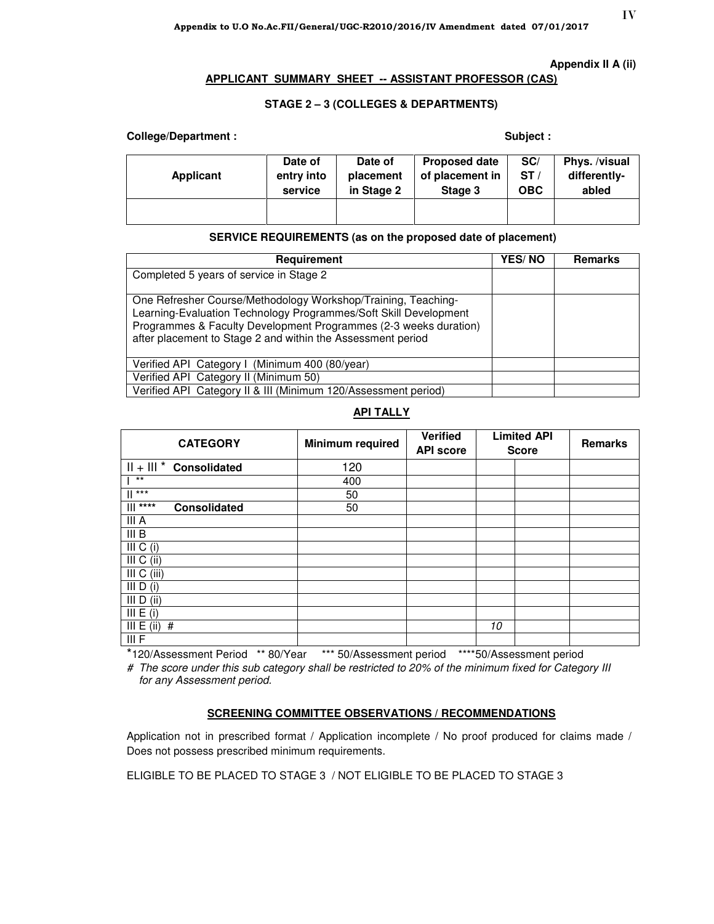### **Appendix II A (ii)**

### **APPLICANT SUMMARY SHEET -- ASSISTANT PROFESSOR (CAS)**

## **STAGE 2 – 3 (COLLEGES & DEPARTMENTS)**

## College/Department : **Subject** : **Subject** : **Subject** : **Subject** :

| Applicant | Date of    | Date of    | <b>Proposed date</b> | SC/        | Phys. /visual |
|-----------|------------|------------|----------------------|------------|---------------|
|           | entry into | placement  | of placement in      | ST/        | differently-  |
|           | service    | in Stage 2 | Stage 3              | <b>OBC</b> | abled         |
|           |            |            |                      |            |               |

## **SERVICE REQUIREMENTS (as on the proposed date of placement)**

| Requirement                                                                                                                                                                                                                                                          | <b>YES/NO</b> | <b>Remarks</b> |
|----------------------------------------------------------------------------------------------------------------------------------------------------------------------------------------------------------------------------------------------------------------------|---------------|----------------|
| Completed 5 years of service in Stage 2                                                                                                                                                                                                                              |               |                |
| One Refresher Course/Methodology Workshop/Training, Teaching-<br>Learning-Evaluation Technology Programmes/Soft Skill Development<br>Programmes & Faculty Development Programmes (2-3 weeks duration)<br>after placement to Stage 2 and within the Assessment period |               |                |
| Verified API Category I (Minimum 400 (80/year)                                                                                                                                                                                                                       |               |                |
| Verified API Category II (Minimum 50)                                                                                                                                                                                                                                |               |                |
| Verified API Category II & III (Minimum 120/Assessment period)                                                                                                                                                                                                       |               |                |

## **API TALLY**

| <b>CATEGORY</b>                   | <b>Minimum required</b> | <b>Verified</b><br><b>API score</b> | <b>Limited API</b><br><b>Score</b> | Remarks |
|-----------------------------------|-------------------------|-------------------------------------|------------------------------------|---------|
| $   +    $ * Consolidated         | 120                     |                                     |                                    |         |
| $***$                             | 400                     |                                     |                                    |         |
| $\mathbb{I}$ ***                  | 50                      |                                     |                                    |         |
| $   $ ****<br><b>Consolidated</b> | 50                      |                                     |                                    |         |
| III A                             |                         |                                     |                                    |         |
| III B                             |                         |                                     |                                    |         |
| III C (i)                         |                         |                                     |                                    |         |
| III C (ii)                        |                         |                                     |                                    |         |
| III C (iii)                       |                         |                                     |                                    |         |
| III $D(i)$                        |                         |                                     |                                    |         |
| III $D$ (ii)                      |                         |                                     |                                    |         |
| III E (i)                         |                         |                                     |                                    |         |
| III E (ii)<br>#                   |                         |                                     | 10                                 |         |
| III F                             |                         |                                     |                                    |         |

\*120/Assessment Period \*\* 80/Year \*\*\* 50/Assessment period \*\*\*\*50/Assessment period

# The score under this sub category shall be restricted to 20% of the minimum fixed for Category III for any Assessment period.

### **SCREENING COMMITTEE OBSERVATIONS / RECOMMENDATIONS**

Application not in prescribed format / Application incomplete / No proof produced for claims made / Does not possess prescribed minimum requirements.

ELIGIBLE TO BE PLACED TO STAGE 3 / NOT ELIGIBLE TO BE PLACED TO STAGE 3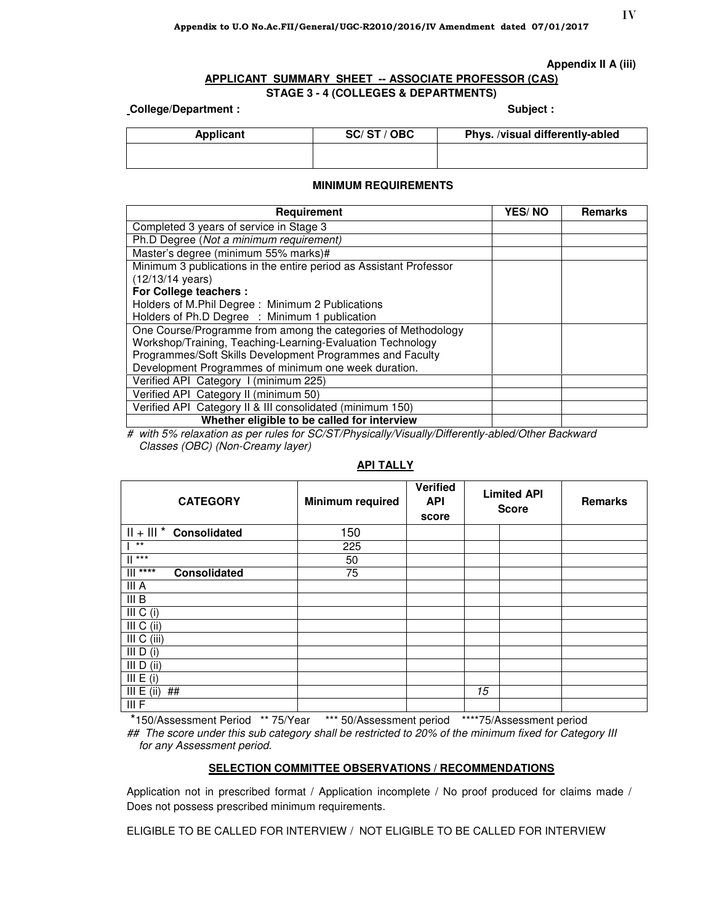### **Appendix II A (iii)**

# **APPLICANT SUMMARY SHEET -- ASSOCIATE PROFESSOR (CAS)**

## **STAGE 3 - 4 (COLLEGES & DEPARTMENTS)**

## Let **College/Department :** The Subject : Subject : Subject : Subject : Subject : Subject :

| Applicant | SC/ST/OBC | Phys. /visual differently-abled |
|-----------|-----------|---------------------------------|
|           |           |                                 |

### **MINIMUM REQUIREMENTS**

| Requirement                                                        | <b>YES/NO</b> | <b>Remarks</b> |
|--------------------------------------------------------------------|---------------|----------------|
| Completed 3 years of service in Stage 3                            |               |                |
| Ph.D Degree (Not a minimum requirement)                            |               |                |
| Master's degree (minimum 55% marks)#                               |               |                |
| Minimum 3 publications in the entire period as Assistant Professor |               |                |
| $(12/13/14 \text{ years})$                                         |               |                |
| For College teachers :                                             |               |                |
| Holders of M.Phil Degree: Minimum 2 Publications                   |               |                |
| Holders of Ph.D Degree : Minimum 1 publication                     |               |                |
| One Course/Programme from among the categories of Methodology      |               |                |
| Workshop/Training, Teaching-Learning-Evaluation Technology         |               |                |
| Programmes/Soft Skills Development Programmes and Faculty          |               |                |
| Development Programmes of minimum one week duration.               |               |                |
| Verified API Category I (minimum 225)                              |               |                |
| Verified API Category II (minimum 50)                              |               |                |
| Verified API Category II & III consolidated (minimum 150)          |               |                |
| Whether eligible to be called for interview                        |               |                |

# with 5% relaxation as per rules for SC/ST/Physically/Visually/Differently-abled/Other Backward Classes (OBC) (Non-Creamy layer)

| <b>CATEGORY</b>                               | Minimum required | Verified<br><b>API</b><br>score |    | <b>Limited API</b><br><b>Score</b> | <b>Remarks</b> |
|-----------------------------------------------|------------------|---------------------------------|----|------------------------------------|----------------|
| $   +    $ * Consolidated                     | 150              |                                 |    |                                    |                |
| $***$                                         | 225              |                                 |    |                                    |                |
| $  $ ***                                      | 50               |                                 |    |                                    |                |
| $\overline{\mathbf{r}$<br><b>Consolidated</b> | 75               |                                 |    |                                    |                |
| III A                                         |                  |                                 |    |                                    |                |
| III <sub>B</sub>                              |                  |                                 |    |                                    |                |
| $\overline{III}$ C (i)                        |                  |                                 |    |                                    |                |
| III C (ii)                                    |                  |                                 |    |                                    |                |
| III C (iii)                                   |                  |                                 |    |                                    |                |
| III D (i)                                     |                  |                                 |    |                                    |                |
| III $D$ (ii)                                  |                  |                                 |    |                                    |                |
| III E (i)                                     |                  |                                 |    |                                    |                |
| III E (ii)<br>##                              |                  |                                 | 15 |                                    |                |
| III F                                         |                  |                                 |    |                                    |                |

## **API TALLY**

 \*150/Assessment Period \*\* 75/Year \*\*\* 50/Assessment period \*\*\*\*75/Assessment period ## The score under this sub category shall be restricted to 20% of the minimum fixed for Category III for any Assessment period.

### **SELECTION COMMITTEE OBSERVATIONS / RECOMMENDATIONS**

Application not in prescribed format / Application incomplete / No proof produced for claims made / Does not possess prescribed minimum requirements.